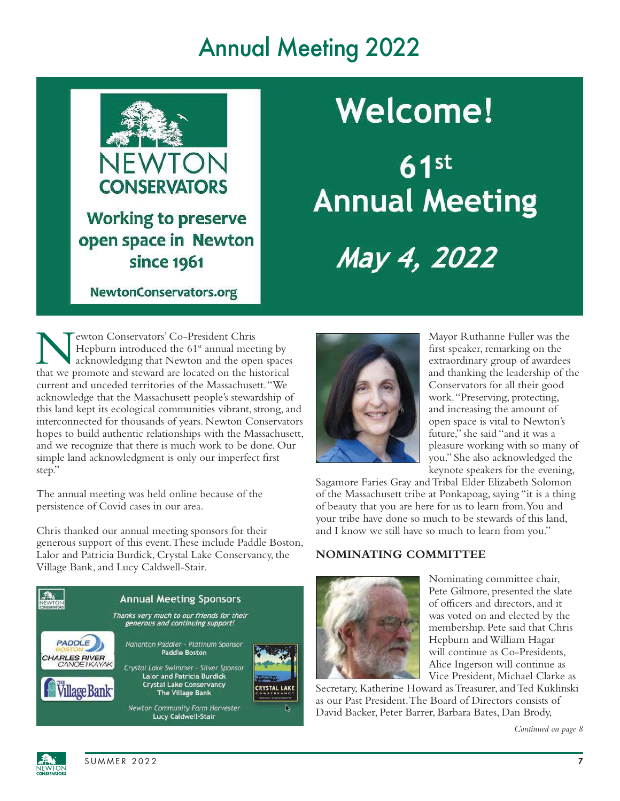# Annual Meeting 2022



NewtonConservators.org

# **Welcome!**

 $61$ st **Annual Meeting** May 4, 2022

**N** ewton Conservators' Co-President Chris<br>Hepburn introduced the 61<sup>st</sup> annual meeting by<br>that we promote and steward are located on the historical ewton Conservators' Co-President Chris Hepburn introduced the  $61<sup>st</sup>$  annual meeting by acknowledging that Newton and the open spaces current and unceded territories of the Massachusett. "We acknowledge that the Massachusett people's stewardship of this land kept its ecological communities vibrant, strong, and interconnected for thousands of years. Newton Conservators hopes to build authentic relationships with the Massachusett, and we recognize that there is much work to be done. Our simple land acknowledgment is only our imperfect first step."

The annual meeting was held online because of the persistence of Covid cases in our area.

Chris thanked our annual meeting sponsors for their generous support of this event. These include Paddle Boston, Lalor and Patricia Burdick, Crystal Lake Conservancy, the Village Bank, and Lucy Caldwell-Stair.





Mayor Ruthanne Fuller was the first speaker, remarking on the extraordinary group of awardees and thanking the leadership of the Conservators for all their good work. "Preserving, protecting, and increasing the amount of open space is vital to Newton's future," she said "and it was a pleasure working with so many of you." She also acknowledged the keynote speakers for the evening,

Sagamore Faries Gray and Tribal Elder Elizabeth Solomon of the Massachusett tribe at Ponkapoag, saying "it is a thing of beauty that you are here for us to learn from. You and your tribe have done so much to be stewards of this land, and I know we still have so much to learn from you."

#### **NOMINATING COMMITTEE**



Nominating committee chair, Pete Gilmore, presented the slate of officers and directors, and it was voted on and elected by the membership. Pete said that Chris Hepburn and William Hagar will continue as Co-Presidents, Alice Ingerson will continue as Vice President, Michael Clarke as

Secretary, Katherine Howard as Treasurer, and Ted Kuklinski as our Past President. The Board of Directors consists of David Backer, Peter Barrer, Barbara Bates, Dan Brody,

*Continued on page 8*